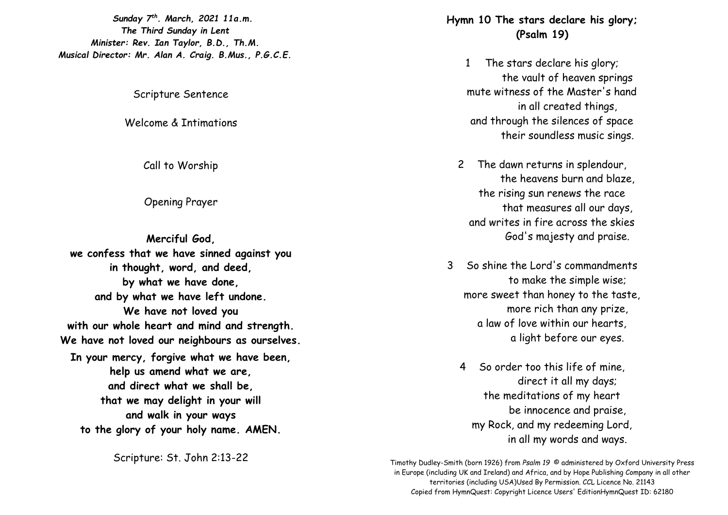*Sunday 7 th. March, 2021 11a.m. The Third Sunday in Lent Minister: Rev. Ian Taylor, B.D., Th.M. Musical Director: Mr. Alan A. Craig. B.Mus., P.G.C.E.*

Scripture Sentence

Welcome & Intimations

Call to Worship

Opening Prayer

**Merciful God, we confess that we have sinned against you in thought, word, and deed, by what we have done, and by what we have left undone. We have not loved you with our whole heart and mind and strength. We have not loved our neighbours as ourselves. In your mercy, forgive what we have been, help us amend what we are, and direct what we shall be, that we may delight in your will and walk in your ways to the glory of your holy name. AMEN.**

Scripture: St. John 2:13-22

**Hymn 10 The stars declare his glory; (Psalm 19)**

- 1 The stars declare his glory; the vault of heaven springs mute witness of the Master's hand in all created things, and through the silences of space their soundless music sings.
- 2 The dawn returns in splendour, the heavens burn and blaze, the rising sun renews the race that measures all our days, and writes in fire across the skies God's majesty and praise.
- 3 So shine the Lord's commandments to make the simple wise; more sweet than honey to the taste, more rich than any prize, a law of love within our hearts, a light before our eyes.
	- 4 So order too this life of mine, direct it all my days; the meditations of my heart be innocence and praise, my Rock, and my redeeming Lord, in all my words and ways.

Timothy Dudley-Smith (born 1926) from *Psalm 19* © administered by Oxford University Press in Europe (including UK and Ireland) and Africa, and by Hope Publishing Company in all other territories (including USA)Used By Permission. CCL Licence No. 21143 Copied from HymnQuest: Copyright Licence Users' EditionHymnQuest ID: 62180